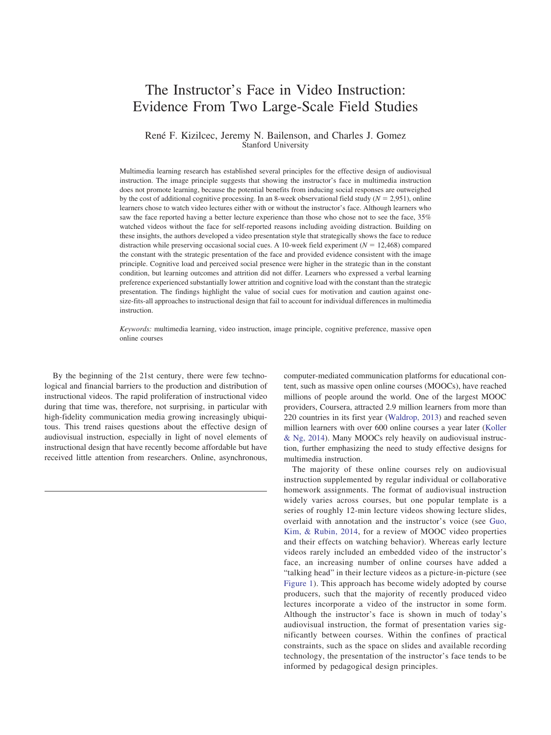# The Instructor's Face in Video Instruction: Evidence From Two Large-Scale Field Studies

# René F. Kizilcec, Jeremy N. Bailenson, and Charles J. Gomez Stanford University

Multimedia learning research has established several principles for the effective design of audiovisual instruction. The image principle suggests that showing the instructor's face in multimedia instruction does not promote learning, because the potential benefits from inducing social responses are outweighed by the cost of additional cognitive processing. In an 8-week observational field study ( $N = 2.951$ ), online learners chose to watch video lectures either with or without the instructor's face. Although learners who saw the face reported having a better lecture experience than those who chose not to see the face, 35% watched videos without the face for self-reported reasons including avoiding distraction. Building on these insights, the authors developed a video presentation style that strategically shows the face to reduce distraction while preserving occasional social cues. A 10-week field experiment  $(N = 12,468)$  compared the constant with the strategic presentation of the face and provided evidence consistent with the image principle. Cognitive load and perceived social presence were higher in the strategic than in the constant condition, but learning outcomes and attrition did not differ. Learners who expressed a verbal learning preference experienced substantially lower attrition and cognitive load with the constant than the strategic presentation. The findings highlight the value of social cues for motivation and caution against onesize-fits-all approaches to instructional design that fail to account for individual differences in multimedia instruction.

*Keywords:* multimedia learning, video instruction, image principle, cognitive preference, massive open online courses

By the beginning of the 21st century, there were few technological and financial barriers to the production and distribution of instructional videos. The rapid proliferation of instructional video during that time was, therefore, not surprising, in particular with high-fidelity communication media growing increasingly ubiquitous. This trend raises questions about the effective design of audiovisual instruction, especially in light of novel elements of instructional design that have recently become affordable but have received little attention from researchers. Online, asynchronous,

computer-mediated communication platforms for educational content, such as massive open online courses (MOOCs), have reached millions of people around the world. One of the largest MOOC providers, Coursera, attracted 2.9 million learners from more than 220 countries in its first year [\(Waldrop, 2013\)](#page-15-0) and reached seven million learners with over 600 online courses a year later [\(Koller](#page-14-0) [& Ng, 2014\)](#page-14-0). Many MOOCs rely heavily on audiovisual instruction, further emphasizing the need to study effective designs for multimedia instruction.

The majority of these online courses rely on audiovisual instruction supplemented by regular individual or collaborative homework assignments. The format of audiovisual instruction widely varies across courses, but one popular template is a series of roughly 12-min lecture videos showing lecture slides, overlaid with annotation and the instructor's voice (see [Guo,](#page-14-1) [Kim, & Rubin, 2014,](#page-14-1) for a review of MOOC video properties and their effects on watching behavior). Whereas early lecture videos rarely included an embedded video of the instructor's face, an increasing number of online courses have added a "talking head" in their lecture videos as a picture-in-picture (see [Figure 1\)](#page-1-0). This approach has become widely adopted by course producers, such that the majority of recently produced video lectures incorporate a video of the instructor in some form. Although the instructor's face is shown in much of today's audiovisual instruction, the format of presentation varies significantly between courses. Within the confines of practical constraints, such as the space on slides and available recording technology, the presentation of the instructor's face tends to be informed by pedagogical design principles.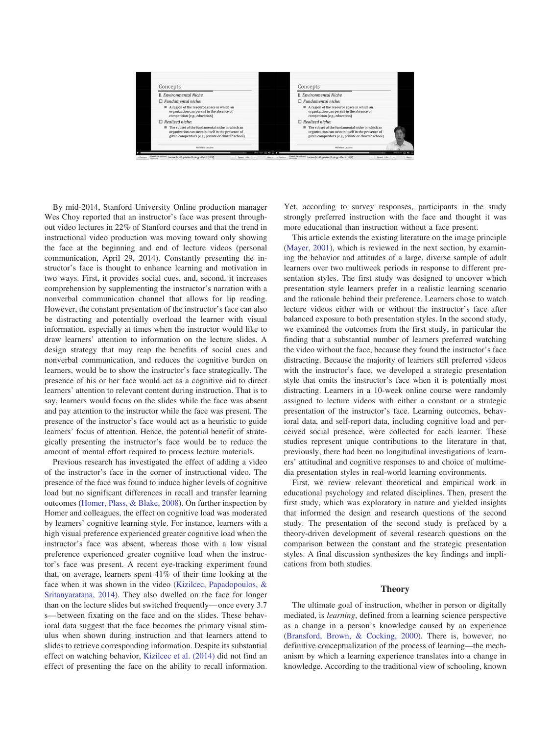<span id="page-1-0"></span>

By mid-2014, Stanford University Online production manager Wes Choy reported that an instructor's face was present throughout video lectures in 22% of Stanford courses and that the trend in instructional video production was moving toward only showing the face at the beginning and end of lecture videos (personal communication, April 29, 2014). Constantly presenting the instructor's face is thought to enhance learning and motivation in two ways. First, it provides social cues, and, second, it increases comprehension by supplementing the instructor's narration with a nonverbal communication channel that allows for lip reading. However, the constant presentation of the instructor's face can also be distracting and potentially overload the learner with visual information, especially at times when the instructor would like to draw learners' attention to information on the lecture slides. A design strategy that may reap the benefits of social cues and nonverbal communication, and reduces the cognitive burden on learners, would be to show the instructor's face strategically. The presence of his or her face would act as a cognitive aid to direct learners' attention to relevant content during instruction. That is to say, learners would focus on the slides while the face was absent and pay attention to the instructor while the face was present. The presence of the instructor's face would act as a heuristic to guide learners' focus of attention. Hence, the potential benefit of strategically presenting the instructor's face would be to reduce the amount of mental effort required to process lecture materials.

Previous research has investigated the effect of adding a video of the instructor's face in the corner of instructional video. The presence of the face was found to induce higher levels of cognitive load but no significant differences in recall and transfer learning outcomes [\(Homer, Plass, & Blake, 2008\)](#page-14-2). On further inspection by Homer and colleagues, the effect on cognitive load was moderated by learners' cognitive learning style. For instance, learners with a high visual preference experienced greater cognitive load when the instructor's face was absent, whereas those with a low visual preference experienced greater cognitive load when the instructor's face was present. A recent eye-tracking experiment found that, on average, learners spent 41% of their time looking at the face when it was shown in the video [\(Kizilcec, Papadopoulos, &](#page-14-3) [Sritanyaratana, 2014\)](#page-14-3). They also dwelled on the face for longer than on the lecture slides but switched frequently— once every 3.7 s— between fixating on the face and on the slides. These behavioral data suggest that the face becomes the primary visual stimulus when shown during instruction and that learners attend to slides to retrieve corresponding information. Despite its substantial effect on watching behavior, [Kizilcec et al. \(2014\)](#page-14-3) did not find an effect of presenting the face on the ability to recall information. Yet, according to survey responses, participants in the study strongly preferred instruction with the face and thought it was more educational than instruction without a face present.

This article extends the existing literature on the image principle [\(Mayer, 2001\)](#page-14-4), which is reviewed in the next section, by examining the behavior and attitudes of a large, diverse sample of adult learners over two multiweek periods in response to different presentation styles. The first study was designed to uncover which presentation style learners prefer in a realistic learning scenario and the rationale behind their preference. Learners chose to watch lecture videos either with or without the instructor's face after balanced exposure to both presentation styles. In the second study, we examined the outcomes from the first study, in particular the finding that a substantial number of learners preferred watching the video without the face, because they found the instructor's face distracting. Because the majority of learners still preferred videos with the instructor's face, we developed a strategic presentation style that omits the instructor's face when it is potentially most distracting. Learners in a 10-week online course were randomly assigned to lecture videos with either a constant or a strategic presentation of the instructor's face. Learning outcomes, behavioral data, and self-report data, including cognitive load and perceived social presence, were collected for each learner. These studies represent unique contributions to the literature in that, previously, there had been no longitudinal investigations of learners' attitudinal and cognitive responses to and choice of multimedia presentation styles in real-world learning environments.

First, we review relevant theoretical and empirical work in educational psychology and related disciplines. Then, present the first study, which was exploratory in nature and yielded insights that informed the design and research questions of the second study. The presentation of the second study is prefaced by a theory-driven development of several research questions on the comparison between the constant and the strategic presentation styles. A final discussion synthesizes the key findings and implications from both studies.

# **Theory**

The ultimate goal of instruction, whether in person or digitally mediated, is *learning*, defined from a learning science perspective as a change in a person's knowledge caused by an experience [\(Bransford, Brown, & Cocking, 2000\)](#page-14-5). There is, however, no definitive conceptualization of the process of learning—the mechanism by which a learning experience translates into a change in knowledge. According to the traditional view of schooling, known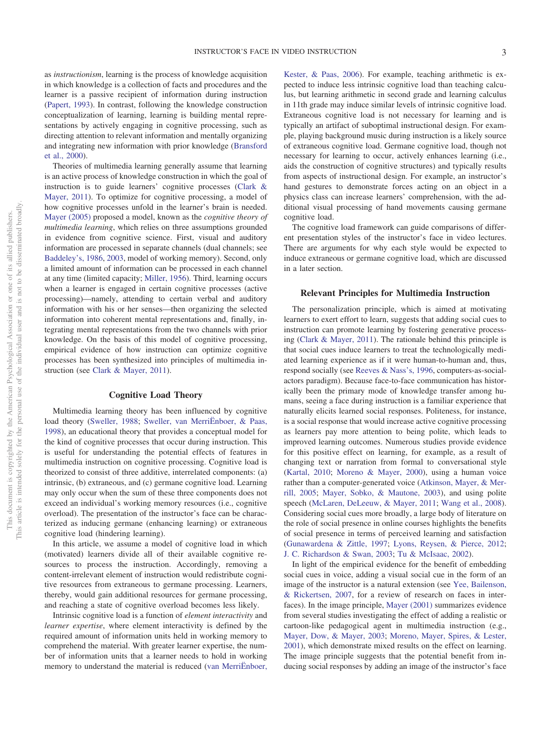as *instructionism*, learning is the process of knowledge acquisition in which knowledge is a collection of facts and procedures and the learner is a passive recipient of information during instruction [\(Papert, 1993\)](#page-15-1). In contrast, following the knowledge construction conceptualization of learning, learning is building mental representations by actively engaging in cognitive processing, such as directing attention to relevant information and mentally organizing and integrating new information with prior knowledge [\(Bransford](#page-14-5) [et al., 2000\)](#page-14-5).

Theories of multimedia learning generally assume that learning is an active process of knowledge construction in which the goal of instruction is to guide learners' cognitive processes [\(Clark &](#page-14-6) [Mayer, 2011\)](#page-14-6). To optimize for cognitive processing, a model of how cognitive processes unfold in the learner's brain is needed. [Mayer \(2005\)](#page-14-7) proposed a model, known as the *cognitive theory of multimedia learning*, which relies on three assumptions grounded in evidence from cognitive science. First, visual and auditory information are processed in separate channels (dual channels; see [Baddeley's, 1986,](#page-14-8) [2003,](#page-14-9) model of working memory). Second, only a limited amount of information can be processed in each channel at any time (limited capacity; [Miller, 1956\)](#page-15-2). Third, learning occurs when a learner is engaged in certain cognitive processes (active processing)—namely, attending to certain verbal and auditory information with his or her senses—then organizing the selected information into coherent mental representations and, finally, integrating mental representations from the two channels with prior knowledge. On the basis of this model of cognitive processing, empirical evidence of how instruction can optimize cognitive processes has been synthesized into principles of multimedia instruction (see [Clark & Mayer, 2011\)](#page-14-6).

# **Cognitive Load Theory**

Multimedia learning theory has been influenced by cognitive load theory [\(Sweller, 1988;](#page-15-3) [Sweller, van MerriËnboer, & Paas,](#page-15-4) [1998\)](#page-15-4), an educational theory that provides a conceptual model for the kind of cognitive processes that occur during instruction. This is useful for understanding the potential effects of features in multimedia instruction on cognitive processing. Cognitive load is theorized to consist of three additive, interrelated components: (a) intrinsic, (b) extraneous, and (c) germane cognitive load. Learning may only occur when the sum of these three components does not exceed an individual's working memory resources (i.e., cognitive overload). The presentation of the instructor's face can be characterized as inducing germane (enhancing learning) or extraneous cognitive load (hindering learning).

In this article, we assume a model of cognitive load in which (motivated) learners divide all of their available cognitive resources to process the instruction. Accordingly, removing a content-irrelevant element of instruction would redistribute cognitive resources from extraneous to germane processing. Learners, thereby, would gain additional resources for germane processing, and reaching a state of cognitive overload becomes less likely.

Intrinsic cognitive load is a function of *element interactivity* and *learner expertise*, where element interactivity is defined by the required amount of information units held in working memory to comprehend the material. With greater learner expertise, the number of information units that a learner needs to hold in working memory to understand the material is reduced [\(van MerriËnboer,](#page-15-5) [Kester, & Paas, 2006\)](#page-15-5). For example, teaching arithmetic is expected to induce less intrinsic cognitive load than teaching calculus, but learning arithmetic in second grade and learning calculus in 11th grade may induce similar levels of intrinsic cognitive load. Extraneous cognitive load is not necessary for learning and is typically an artifact of suboptimal instructional design. For example, playing background music during instruction is a likely source of extraneous cognitive load. Germane cognitive load, though not necessary for learning to occur, actively enhances learning (i.e., aids the construction of cognitive structures) and typically results from aspects of instructional design. For example, an instructor's hand gestures to demonstrate forces acting on an object in a physics class can increase learners' comprehension, with the additional visual processing of hand movements causing germane cognitive load.

The cognitive load framework can guide comparisons of different presentation styles of the instructor's face in video lectures. There are arguments for why each style would be expected to induce extraneous or germane cognitive load, which are discussed in a later section.

## **Relevant Principles for Multimedia Instruction**

The personalization principle, which is aimed at motivating learners to exert effort to learn, suggests that adding social cues to instruction can promote learning by fostering generative processing [\(Clark & Mayer, 2011\)](#page-14-6). The rationale behind this principle is that social cues induce learners to treat the technologically mediated learning experience as if it were human-to-human and, thus, respond socially (see [Reeves & Nass's, 1996,](#page-15-6) computers-as-socialactors paradigm). Because face-to-face communication has historically been the primary mode of knowledge transfer among humans, seeing a face during instruction is a familiar experience that naturally elicits learned social responses. Politeness, for instance, is a social response that would increase active cognitive processing as learners pay more attention to being polite, which leads to improved learning outcomes. Numerous studies provide evidence for this positive effect on learning, for example, as a result of changing text or narration from formal to conversational style [\(Kartal, 2010;](#page-14-10) [Moreno & Mayer, 2000\)](#page-15-7), using a human voice rather than a computer-generated voice [\(Atkinson, Mayer, & Mer](#page-14-11)[rill, 2005;](#page-14-11) [Mayer, Sobko, & Mautone, 2003\)](#page-15-8), and using polite speech [\(McLaren, DeLeeuw, & Mayer, 2011;](#page-15-9) [Wang et al., 2008\)](#page-15-10). Considering social cues more broadly, a large body of literature on the role of social presence in online courses highlights the benefits of social presence in terms of perceived learning and satisfaction [\(Gunawardena & Zittle, 1997;](#page-14-12) [Lyons, Reysen, & Pierce, 2012;](#page-14-13) [J. C. Richardson & Swan, 2003;](#page-15-11) [Tu & McIsaac, 2002\)](#page-15-12).

In light of the empirical evidence for the benefit of embedding social cues in voice, adding a visual social cue in the form of an image of the instructor is a natural extension (see [Yee, Bailenson,](#page-15-13) [& Rickertsen, 2007,](#page-15-13) for a review of research on faces in interfaces). In the image principle, [Mayer \(2001\)](#page-14-4) summarizes evidence from several studies investigating the effect of adding a realistic or cartoon-like pedagogical agent in multimedia instruction (e.g., [Mayer, Dow, & Mayer, 2003;](#page-14-14) [Moreno, Mayer, Spires, & Lester,](#page-15-14) [2001\)](#page-15-14), which demonstrate mixed results on the effect on learning. The image principle suggests that the potential benefit from inducing social responses by adding an image of the instructor's face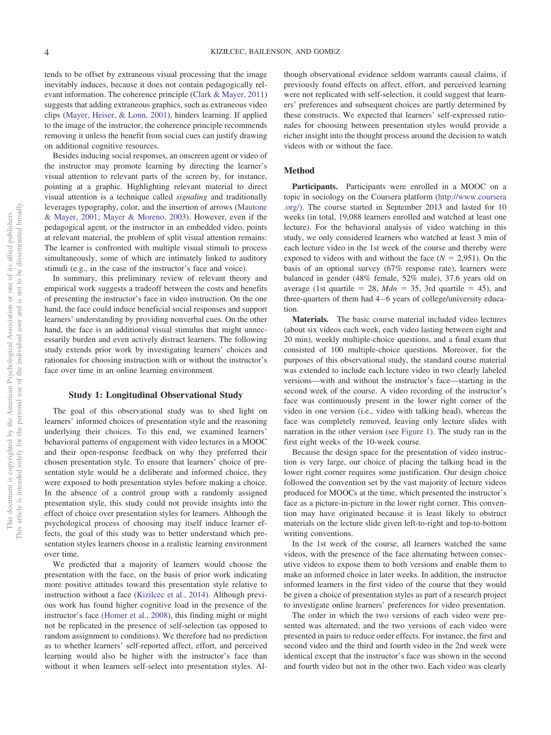tends to be offset by extraneous visual processing that the image inevitably induces, because it does not contain pedagogically relevant information. The coherence principle [\(Clark & Mayer, 2011\)](#page-14-6) suggests that adding extraneous graphics, such as extraneous video clips [\(Mayer, Heiser, & Lonn, 2001\)](#page-15-15), hinders learning. If applied to the image of the instructor, the coherence principle recommends removing it unless the benefit from social cues can justify drawing on additional cognitive resources.

Besides inducing social responses, an onscreen agent or video of the instructor may promote learning by directing the learner's visual attention to relevant parts of the screen by, for instance, pointing at a graphic. Highlighting relevant material to direct visual attention is a technique called *signaling* and traditionally leverages typography, color, and the insertion of arrows [\(Mautone](#page-14-15) [& Mayer, 2001;](#page-14-15) [Mayer & Moreno, 2003\)](#page-15-16). However, even if the pedagogical agent, or the instructor in an embedded video, points at relevant material, the problem of split visual attention remains: The learner is confronted with multiple visual stimuli to process simultaneously, some of which are intimately linked to auditory stimuli (e.g., in the case of the instructor's face and voice).

In summary, this preliminary review of relevant theory and empirical work suggests a tradeoff between the costs and benefits of presenting the instructor's face in video instruction. On the one hand, the face could induce beneficial social responses and support learners' understanding by providing nonverbal cues. On the other hand, the face is an additional visual stimulus that might unnecessarily burden and even actively distract learners. The following study extends prior work by investigating learners' choices and rationales for choosing instruction with or without the instructor's face over time in an online learning environment.

# **Study 1: Longitudinal Observational Study**

The goal of this observational study was to shed light on learners' informed choices of presentation style and the reasoning underlying their choices. To this end, we examined learners' behavioral patterns of engagement with video lectures in a MOOC and their open-response feedback on why they preferred their chosen presentation style. To ensure that learners' choice of presentation style would be a deliberate and informed choice, they were exposed to both presentation styles before making a choice. In the absence of a control group with a randomly assigned presentation style, this study could not provide insights into the effect of choice over presentation styles for learners. Although the psychological process of choosing may itself induce learner effects, the goal of this study was to better understand which presentation styles learners choose in a realistic learning environment over time.

We predicted that a majority of learners would choose the presentation with the face, on the basis of prior work indicating more positive attitudes toward this presentation style relative to instruction without a face [\(Kizilcec et al., 2014\)](#page-14-3). Although previous work has found higher cognitive load in the presence of the instructor's face [\(Homer et al., 2008\)](#page-14-2), this finding might or might not be replicated in the presence of self-selection (as opposed to random assignment to conditions). We therefore had no prediction as to whether learners' self-reported affect, effort, and perceived learning would also be higher with the instructor's face than without it when learners self-select into presentation styles. Although observational evidence seldom warrants causal claims, if previously found effects on affect, effort, and perceived learning were not replicated with self-selection, it could suggest that learners' preferences and subsequent choices are partly determined by these constructs. We expected that learners' self-expressed rationales for choosing between presentation styles would provide a richer insight into the thought process around the decision to watch videos with or without the face.

#### **Method**

Participants. Participants were enrolled in a MOOC on a topic in sociology on the Coursera platform [\(http://www.coursera](http://www.coursera.org/) [.org/\)](http://www.coursera.org/). The course started in September 2013 and lasted for 10 weeks (in total, 19,088 learners enrolled and watched at least one lecture). For the behavioral analysis of video watching in this study, we only considered learners who watched at least 3 min of each lecture video in the 1st week of the course and thereby were exposed to videos with and without the face  $(N = 2,951)$ . On the basis of an optional survey (67% response rate), learners were balanced in gender (48% female, 52% male), 37.6 years old on average (1st quartile  $= 28$ , *Mdn*  $= 35$ , 3rd quartile  $= 45$ ), and three-quarters of them had  $4-6$  years of college/university education.

**Materials.** The basic course material included video lectures (about six videos each week, each video lasting between eight and 20 min), weekly multiple-choice questions, and a final exam that consisted of 100 multiple-choice questions. Moreover, for the purposes of this observational study, the standard course material was extended to include each lecture video in two clearly labeled versions—with and without the instructor's face—starting in the second week of the course. A video recording of the instructor's face was continuously present in the lower right corner of the video in one version (i.e., video with talking head), whereas the face was completely removed, leaving only lecture slides with narration in the other version (see [Figure 1\)](#page-1-0). The study ran in the first eight weeks of the 10-week course.

Because the design space for the presentation of video instruction is very large, our choice of placing the talking head in the lower right corner requires some justification. Our design choice followed the convention set by the vast majority of lecture videos produced for MOOCs at the time, which presented the instructor's face as a picture-in-picture in the lower right corner. This convention may have originated because it is least likely to obstruct materials on the lecture slide given left-to-right and top-to-bottom writing conventions.

In the 1st week of the course, all learners watched the same videos, with the presence of the face alternating between consecutive videos to expose them to both versions and enable them to make an informed choice in later weeks. In addition, the instructor informed learners in the first video of the course that they would be given a choice of presentation styles as part of a research project to investigate online learners' preferences for video presentation.

The order in which the two versions of each video were presented was alternated, and the two versions of each video were presented in pairs to reduce order effects. For instance, the first and second video and the third and fourth video in the 2nd week were identical except that the instructor's face was shown in the second and fourth video but not in the other two. Each video was clearly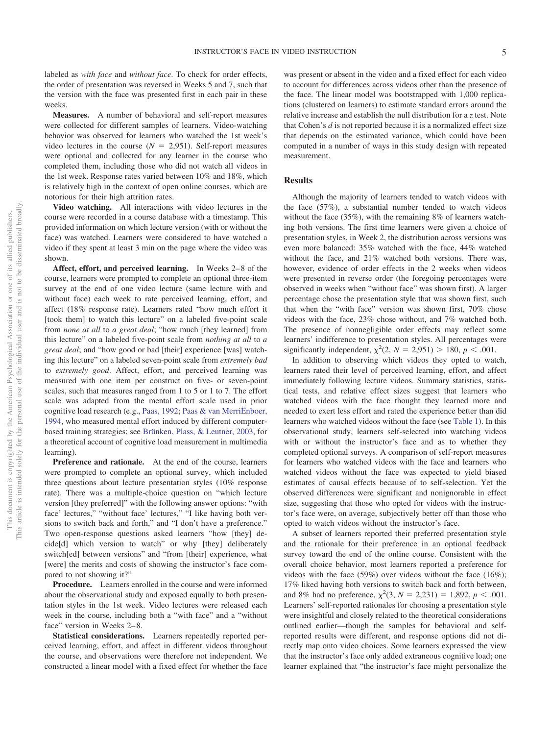labeled as *with face* and *without face*. To check for order effects, the order of presentation was reversed in Weeks 5 and 7, such that the version with the face was presented first in each pair in these weeks.

**Measures.** A number of behavioral and self-report measures were collected for different samples of learners. Video-watching behavior was observed for learners who watched the 1st week's video lectures in the course  $(N = 2.951)$ . Self-report measures were optional and collected for any learner in the course who completed them, including those who did not watch all videos in the 1st week. Response rates varied between 10% and 18%, which is relatively high in the context of open online courses, which are notorious for their high attrition rates.

**Video watching.** All interactions with video lectures in the course were recorded in a course database with a timestamp. This provided information on which lecture version (with or without the face) was watched. Learners were considered to have watched a video if they spent at least 3 min on the page where the video was shown.

Affect, effort, and perceived learning. In Weeks 2–8 of the course, learners were prompted to complete an optional three-item survey at the end of one video lecture (same lecture with and without face) each week to rate perceived learning, effort, and affect (18% response rate). Learners rated "how much effort it [took them] to watch this lecture" on a labeled five-point scale from *none at all* to *a great deal*; "how much [they learned] from this lecture" on a labeled five-point scale from *nothing at all* to *a great deal*; and "how good or bad [their] experience [was] watching this lecture" on a labeled seven-point scale from *extremely bad* to *extremely good*. Affect, effort, and perceived learning was measured with one item per construct on five- or seven-point scales, such that measures ranged from 1 to 5 or 1 to 7. The effort scale was adapted from the mental effort scale used in prior cognitive load research (e.g., [Paas, 1992;](#page-15-17) [Paas & van MerriËnboer,](#page-15-18) [1994,](#page-15-18) who measured mental effort induced by different computerbased training strategies; see Brünken, Plass, & Leutner, 2003, for a theoretical account of cognitive load measurement in multimedia learning).

**Preference and rationale.** At the end of the course, learners were prompted to complete an optional survey, which included three questions about lecture presentation styles (10% response rate). There was a multiple-choice question on "which lecture version [they preferred]" with the following answer options: "with face' lectures," "without face' lectures," "I like having both versions to switch back and forth," and "I don't have a preference." Two open-response questions asked learners "how [they] decide[d] which version to watch" or why [they] deliberately switch[ed] between versions" and "from [their] experience, what [were] the merits and costs of showing the instructor's face compared to not showing it?"

**Procedure.** Learners enrolled in the course and were informed about the observational study and exposed equally to both presentation styles in the 1st week. Video lectures were released each week in the course, including both a "with face" and a "without face" version in Weeks 2–8.

**Statistical considerations.** Learners repeatedly reported perceived learning, effort, and affect in different videos throughout the course, and observations were therefore not independent. We constructed a linear model with a fixed effect for whether the face was present or absent in the video and a fixed effect for each video to account for differences across videos other than the presence of the face. The linear model was bootstrapped with 1,000 replications (clustered on learners) to estimate standard errors around the relative increase and establish the null distribution for a *z* test. Note that Cohen's *d* is not reported because it is a normalized effect size that depends on the estimated variance, which could have been computed in a number of ways in this study design with repeated measurement.

# **Results**

Although the majority of learners tended to watch videos with the face (57%), a substantial number tended to watch videos without the face (35%), with the remaining 8% of learners watching both versions. The first time learners were given a choice of presentation styles, in Week 2, the distribution across versions was even more balanced: 35% watched with the face, 44% watched without the face, and 21% watched both versions. There was, however, evidence of order effects in the 2 weeks when videos were presented in reverse order (the foregoing percentages were observed in weeks when "without face" was shown first). A larger percentage chose the presentation style that was shown first, such that when the "with face" version was shown first, 70% chose videos with the face, 23% chose without, and 7% watched both. The presence of nonnegligible order effects may reflect some learners' indifference to presentation styles. All percentages were significantly independent,  $\chi^2(2, N = 2,951) > 180, p < .001$ .

In addition to observing which videos they opted to watch, learners rated their level of perceived learning, effort, and affect immediately following lecture videos. Summary statistics, statistical tests, and relative effect sizes suggest that learners who watched videos with the face thought they learned more and needed to exert less effort and rated the experience better than did learners who watched videos without the face (see [Table 1\)](#page-5-0). In this observational study, learners self-selected into watching videos with or without the instructor's face and as to whether they completed optional surveys. A comparison of self-report measures for learners who watched videos with the face and learners who watched videos without the face was expected to yield biased estimates of causal effects because of to self-selection. Yet the observed differences were significant and nonignorable in effect size, suggesting that those who opted for videos with the instructor's face were, on average, subjectively better off than those who opted to watch videos without the instructor's face.

A subset of learners reported their preferred presentation style and the rationale for their preference in an optional feedback survey toward the end of the online course. Consistent with the overall choice behavior, most learners reported a preference for videos with the face (59%) over videos without the face (16%); 17% liked having both versions to switch back and forth between, and 8% had no preference,  $\chi^2(3, N = 2,231) = 1,892, p < .001$ . Learners' self-reported rationales for choosing a presentation style were insightful and closely related to the theoretical considerations outlined earlier—though the samples for behavioral and selfreported results were different, and response options did not directly map onto video choices. Some learners expressed the view that the instructor's face only added extraneous cognitive load; one learner explained that "the instructor's face might personalize the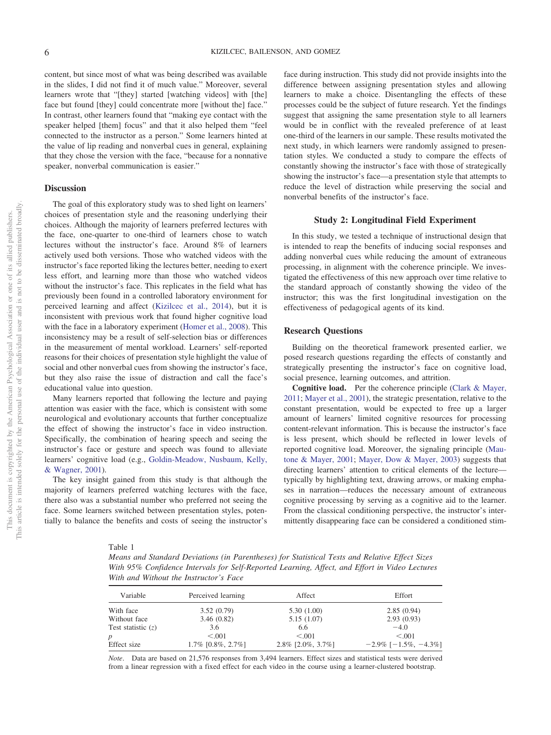content, but since most of what was being described was available in the slides, I did not find it of much value." Moreover, several learners wrote that "[they] started [watching videos] with [the] face but found [they] could concentrate more [without the] face." In contrast, other learners found that "making eye contact with the speaker helped [them] focus" and that it also helped them "feel connected to the instructor as a person." Some learners hinted at the value of lip reading and nonverbal cues in general, explaining that they chose the version with the face, "because for a nonnative speaker, nonverbal communication is easier."

# **Discussion**

The goal of this exploratory study was to shed light on learners' choices of presentation style and the reasoning underlying their choices. Although the majority of learners preferred lectures with the face, one-quarter to one-third of learners chose to watch lectures without the instructor's face. Around 8% of learners actively used both versions. Those who watched videos with the instructor's face reported liking the lectures better, needing to exert less effort, and learning more than those who watched videos without the instructor's face. This replicates in the field what has previously been found in a controlled laboratory environment for perceived learning and affect [\(Kizilcec et al., 2014\)](#page-14-3), but it is inconsistent with previous work that found higher cognitive load with the face in a laboratory experiment [\(Homer et al., 2008\)](#page-14-2). This inconsistency may be a result of self-selection bias or differences in the measurement of mental workload. Learners' self-reported reasons for their choices of presentation style highlight the value of social and other nonverbal cues from showing the instructor's face, but they also raise the issue of distraction and call the face's educational value into question.

Many learners reported that following the lecture and paying attention was easier with the face, which is consistent with some neurological and evolutionary accounts that further conceptualize the effect of showing the instructor's face in video instruction. Specifically, the combination of hearing speech and seeing the instructor's face or gesture and speech was found to alleviate learners' cognitive load (e.g., [Goldin-Meadow, Nusbaum, Kelly,](#page-14-17) [& Wagner, 2001\)](#page-14-17).

The key insight gained from this study is that although the majority of learners preferred watching lectures with the face, there also was a substantial number who preferred not seeing the face. Some learners switched between presentation styles, potentially to balance the benefits and costs of seeing the instructor's face during instruction. This study did not provide insights into the difference between assigning presentation styles and allowing learners to make a choice. Disentangling the effects of these processes could be the subject of future research. Yet the findings suggest that assigning the same presentation style to all learners would be in conflict with the revealed preference of at least one-third of the learners in our sample. These results motivated the next study, in which learners were randomly assigned to presentation styles. We conducted a study to compare the effects of constantly showing the instructor's face with those of strategically showing the instructor's face—a presentation style that attempts to reduce the level of distraction while preserving the social and nonverbal benefits of the instructor's face.

## **Study 2: Longitudinal Field Experiment**

In this study, we tested a technique of instructional design that is intended to reap the benefits of inducing social responses and adding nonverbal cues while reducing the amount of extraneous processing, in alignment with the coherence principle. We investigated the effectiveness of this new approach over time relative to the standard approach of constantly showing the video of the instructor; this was the first longitudinal investigation on the effectiveness of pedagogical agents of its kind.

#### **Research Questions**

Building on the theoretical framework presented earlier, we posed research questions regarding the effects of constantly and strategically presenting the instructor's face on cognitive load, social presence, learning outcomes, and attrition.

**Cognitive load.** Per the coherence principle [\(Clark & Mayer,](#page-14-6) [2011;](#page-14-6) [Mayer et al., 2001\)](#page-15-15), the strategic presentation, relative to the constant presentation, would be expected to free up a larger amount of learners' limited cognitive resources for processing content-relevant information. This is because the instructor's face is less present, which should be reflected in lower levels of reported cognitive load. Moreover, the signaling principle [\(Mau](#page-14-15)[tone & Mayer, 2001;](#page-14-15) [Mayer, Dow & Mayer, 2003\)](#page-14-14) suggests that directing learners' attention to critical elements of the lecture typically by highlighting text, drawing arrows, or making emphases in narration—reduces the necessary amount of extraneous cognitive processing by serving as a cognitive aid to the learner. From the classical conditioning perspective, the instructor's intermittently disappearing face can be considered a conditioned stim-

<span id="page-5-0"></span>Table 1

*Means and Standard Deviations (in Parentheses) for Statistical Tests and Relative Effect Sizes With 95% Confidence Intervals for Self-Reported Learning, Affect, and Effort in Video Lectures With and Without the Instructor's Face*

| Variable             | Perceived learning   | Affect               | Effort                           |
|----------------------|----------------------|----------------------|----------------------------------|
| With face            | 3.52(0.79)           | 5.30(1.00)           | 2.85(0.94)                       |
| Without face         | 3.46(0.82)           | 5.15(1.07)           | 2.93(0.93)                       |
| Test statistic $(z)$ | 3.6                  | 6.6                  | $-4.0$                           |
| $\boldsymbol{p}$     | < 0.01               | < 0.01               | < 0.01                           |
| Effect size          | $1.7\%$ [0.8%, 2.7%] | $2.8\%$ [2.0%, 3.7%] | $-2.9\%$ [ $-1.5\%$ , $-4.3\%$ ] |

*Note*. Data are based on 21,576 responses from 3,494 learners. Effect sizes and statistical tests were derived from a linear regression with a fixed effect for each video in the course using a learner-clustered bootstrap.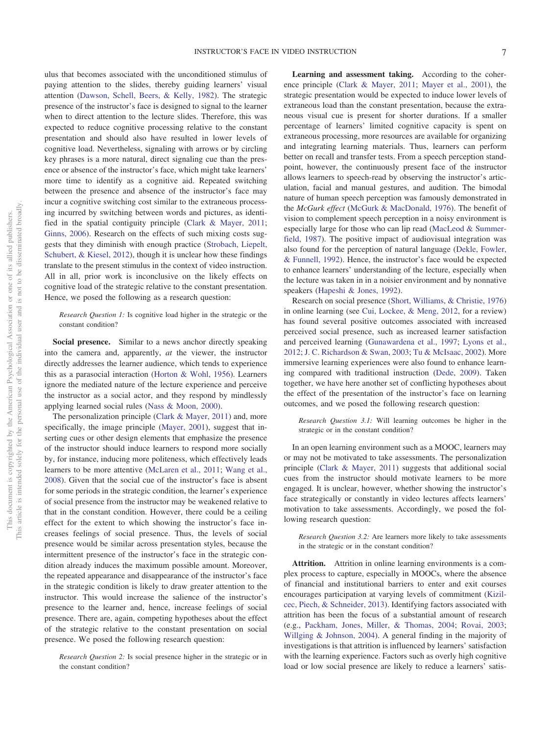ulus that becomes associated with the unconditioned stimulus of paying attention to the slides, thereby guiding learners' visual attention [\(Dawson, Schell, Beers, & Kelly, 1982\)](#page-14-18). The strategic presence of the instructor's face is designed to signal to the learner when to direct attention to the lecture slides. Therefore, this was expected to reduce cognitive processing relative to the constant presentation and should also have resulted in lower levels of cognitive load. Nevertheless, signaling with arrows or by circling key phrases is a more natural, direct signaling cue than the presence or absence of the instructor's face, which might take learners' more time to identify as a cognitive aid. Repeated switching between the presence and absence of the instructor's face may incur a cognitive switching cost similar to the extraneous processing incurred by switching between words and pictures, as identified in the spatial contiguity principle [\(Clark & Mayer, 2011;](#page-14-6) [Ginns, 2006\)](#page-14-19). Research on the effects of such mixing costs suggests that they diminish with enough practice [\(Strobach, Liepelt,](#page-15-19) [Schubert, & Kiesel, 2012\)](#page-15-19), though it is unclear how these findings translate to the present stimulus in the context of video instruction. All in all, prior work is inconclusive on the likely effects on cognitive load of the strategic relative to the constant presentation. Hence, we posed the following as a research question:

*Research Question 1:* Is cognitive load higher in the strategic or the constant condition?

**Social presence.** Similar to a news anchor directly speaking into the camera and, apparently, *at* the viewer, the instructor directly addresses the learner audience, which tends to experience this as a parasocial interaction [\(Horton & Wohl, 1956\)](#page-14-20). Learners ignore the mediated nature of the lecture experience and perceive the instructor as a social actor, and they respond by mindlessly applying learned social rules [\(Nass & Moon, 2000\)](#page-15-20).

The personalization principle [\(Clark & Mayer, 2011\)](#page-14-6) and, more specifically, the image principle [\(Mayer, 2001\)](#page-14-4), suggest that inserting cues or other design elements that emphasize the presence of the instructor should induce learners to respond more socially by, for instance, inducing more politeness, which effectively leads learners to be more attentive [\(McLaren et al., 2011;](#page-15-9) [Wang et al.,](#page-15-10) [2008\)](#page-15-10). Given that the social cue of the instructor's face is absent for some periods in the strategic condition, the learner's experience of social presence from the instructor may be weakened relative to that in the constant condition. However, there could be a ceiling effect for the extent to which showing the instructor's face increases feelings of social presence. Thus, the levels of social presence would be similar across presentation styles, because the intermittent presence of the instructor's face in the strategic condition already induces the maximum possible amount. Moreover, the repeated appearance and disappearance of the instructor's face in the strategic condition is likely to draw greater attention to the instructor. This would increase the salience of the instructor's presence to the learner and, hence, increase feelings of social presence. There are, again, competing hypotheses about the effect of the strategic relative to the constant presentation on social presence. We posed the following research question:

*Research Question 2:* Is social presence higher in the strategic or in the constant condition?

Learning and assessment taking. According to the coherence principle [\(Clark & Mayer, 2011;](#page-14-6) [Mayer et al., 2001\)](#page-15-15), the strategic presentation would be expected to induce lower levels of extraneous load than the constant presentation, because the extraneous visual cue is present for shorter durations. If a smaller percentage of learners' limited cognitive capacity is spent on extraneous processing, more resources are available for organizing and integrating learning materials. Thus, learners can perform better on recall and transfer tests. From a speech perception standpoint, however, the continuously present face of the instructor allows learners to speech-read by observing the instructor's articulation, facial and manual gestures, and audition. The bimodal nature of human speech perception was famously demonstrated in the *McGurk effect* [\(McGurk & MacDonald, 1976\)](#page-15-21). The benefit of vision to complement speech perception in a noisy environment is especially large for those who can lip read [\(MacLeod & Summer](#page-14-21)[field, 1987\)](#page-14-21). The positive impact of audiovisual integration was also found for the perception of natural language [\(Dekle, Fowler,](#page-14-22) [& Funnell, 1992\)](#page-14-22). Hence, the instructor's face would be expected to enhance learners' understanding of the lecture, especially when the lecture was taken in in a noisier environment and by nonnative speakers [\(Hapeshi & Jones, 1992\)](#page-14-23).

Research on social presence [\(Short, Williams, & Christie, 1976\)](#page-15-22) in online learning (see [Cui, Lockee, & Meng, 2012,](#page-14-24) for a review) has found several positive outcomes associated with increased perceived social presence, such as increased learner satisfaction and perceived learning [\(Gunawardena et al., 1997;](#page-14-12) [Lyons et al.,](#page-14-13) [2012;](#page-14-13) [J. C. Richardson & Swan, 2003;](#page-15-11) [Tu & McIsaac, 2002\)](#page-15-12). More immersive learning experiences were also found to enhance learning compared with traditional instruction [\(Dede, 2009\)](#page-14-25). Taken together, we have here another set of conflicting hypotheses about the effect of the presentation of the instructor's face on learning outcomes, and we posed the following research question:

*Research Question 3.1:* Will learning outcomes be higher in the strategic or in the constant condition?

In an open learning environment such as a MOOC, learners may or may not be motivated to take assessments. The personalization principle [\(Clark & Mayer, 2011\)](#page-14-6) suggests that additional social cues from the instructor should motivate learners to be more engaged. It is unclear, however, whether showing the instructor's face strategically or constantly in video lectures affects learners' motivation to take assessments. Accordingly, we posed the following research question:

*Research Question 3.2:* Are learners more likely to take assessments in the strategic or in the constant condition?

**Attrition.** Attrition in online learning environments is a complex process to capture, especially in MOOCs, where the absence of financial and institutional barriers to enter and exit courses encourages participation at varying levels of commitment [\(Kizil](#page-14-26)[cec, Piech, & Schneider, 2013\)](#page-14-26). Identifying factors associated with attrition has been the focus of a substantial amount of research (e.g., [Packham, Jones, Miller, & Thomas, 2004;](#page-15-23) [Rovai, 2003;](#page-15-24) [Willging & Johnson, 2004\)](#page-15-25). A general finding in the majority of investigations is that attrition is influenced by learners' satisfaction with the learning experience. Factors such as overly high cognitive load or low social presence are likely to reduce a learners' satis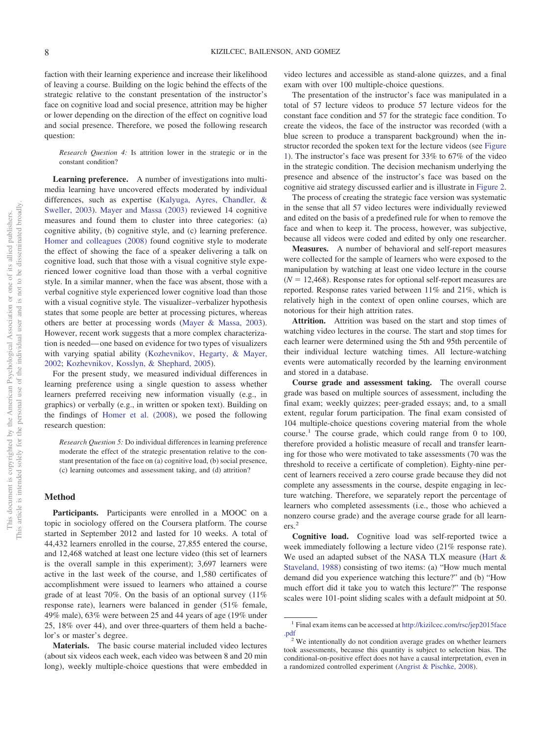faction with their learning experience and increase their likelihood of leaving a course. Building on the logic behind the effects of the strategic relative to the constant presentation of the instructor's face on cognitive load and social presence, attrition may be higher or lower depending on the direction of the effect on cognitive load and social presence. Therefore, we posed the following research question:

*Research Question 4:* Is attrition lower in the strategic or in the constant condition?

**Learning preference.** A number of investigations into multimedia learning have uncovered effects moderated by individual differences, such as expertise [\(Kalyuga, Ayres, Chandler, &](#page-14-27) [Sweller, 2003\)](#page-14-27). [Mayer and Massa \(2003\)](#page-15-26) reviewed 14 cognitive measures and found them to cluster into three categories: (a) cognitive ability, (b) cognitive style, and (c) learning preference. [Homer and colleagues \(2008\)](#page-14-2) found cognitive style to moderate the effect of showing the face of a speaker delivering a talk on cognitive load, such that those with a visual cognitive style experienced lower cognitive load than those with a verbal cognitive style. In a similar manner, when the face was absent, those with a verbal cognitive style experienced lower cognitive load than those with a visual cognitive style. The visualizer–verbalizer hypothesis states that some people are better at processing pictures, whereas others are better at processing words [\(Mayer & Massa, 2003\)](#page-15-26). However, recent work suggests that a more complex characterization is needed— one based on evidence for two types of visualizers with varying spatial ability [\(Kozhevnikov, Hegarty, & Mayer,](#page-14-28) [2002;](#page-14-28) [Kozhevnikov, Kosslyn, & Shephard, 2005\)](#page-14-29).

For the present study, we measured individual differences in learning preference using a single question to assess whether learners preferred receiving new information visually (e.g., in graphics) or verbally (e.g., in written or spoken text). Building on the findings of [Homer et al. \(2008\),](#page-14-2) we posed the following research question:

*Research Question 5:* Do individual differences in learning preference moderate the effect of the strategic presentation relative to the constant presentation of the face on (a) cognitive load, (b) social presence, (c) learning outcomes and assessment taking, and (d) attrition?

# **Method**

**Participants.** Participants were enrolled in a MOOC on a topic in sociology offered on the Coursera platform. The course started in September 2012 and lasted for 10 weeks. A total of 44,432 learners enrolled in the course, 27,855 entered the course, and 12,468 watched at least one lecture video (this set of learners is the overall sample in this experiment); 3,697 learners were active in the last week of the course, and 1,580 certificates of accomplishment were issued to learners who attained a course grade of at least 70%. On the basis of an optional survey (11% response rate), learners were balanced in gender (51% female, 49% male), 63% were between 25 and 44 years of age (19% under 25, 18% over 44), and over three-quarters of them held a bachelor's or master's degree.

**Materials.** The basic course material included video lectures (about six videos each week, each video was between 8 and 20 min long), weekly multiple-choice questions that were embedded in video lectures and accessible as stand-alone quizzes, and a final exam with over 100 multiple-choice questions.

The presentation of the instructor's face was manipulated in a total of 57 lecture videos to produce 57 lecture videos for the constant face condition and 57 for the strategic face condition. To create the videos, the face of the instructor was recorded (with a blue screen to produce a transparent background) when the instructor recorded the spoken text for the lecture videos (see [Figure](#page-1-0) [1\)](#page-1-0). The instructor's face was present for 33% to 67% of the video in the strategic condition. The decision mechanism underlying the presence and absence of the instructor's face was based on the cognitive aid strategy discussed earlier and is illustrate in [Figure 2.](#page-8-0)

The process of creating the strategic face version was systematic in the sense that all 57 video lectures were individually reviewed and edited on the basis of a predefined rule for when to remove the face and when to keep it. The process, however, was subjective, because all videos were coded and edited by only one researcher.

**Measures.** A number of behavioral and self-report measures were collected for the sample of learners who were exposed to the manipulation by watching at least one video lecture in the course  $(N = 12,468)$ . Response rates for optional self-report measures are reported. Response rates varied between 11% and 21%, which is relatively high in the context of open online courses, which are notorious for their high attrition rates.

**Attrition.** Attrition was based on the start and stop times of watching video lectures in the course. The start and stop times for each learner were determined using the 5th and 95th percentile of their individual lecture watching times. All lecture-watching events were automatically recorded by the learning environment and stored in a database.

**Course grade and assessment taking.** The overall course grade was based on multiple sources of assessment, including the final exam; weekly quizzes; peer-graded essays; and, to a small extent, regular forum participation. The final exam consisted of 104 multiple-choice questions covering material from the whole course.1 The course grade, which could range from 0 to 100, therefore provided a holistic measure of recall and transfer learning for those who were motivated to take assessments (70 was the threshold to receive a certificate of completion). Eighty-nine percent of learners received a zero course grade because they did not complete any assessments in the course, despite engaging in lecture watching. Therefore, we separately report the percentage of learners who completed assessments (i.e., those who achieved a nonzero course grade) and the average course grade for all learners.2

**Cognitive load.** Cognitive load was self-reported twice a week immediately following a lecture video (21% response rate). We used an adapted subset of the NASA TLX measure [\(Hart &](#page-14-30) [Staveland, 1988\)](#page-14-30) consisting of two items: (a) "How much mental demand did you experience watching this lecture?" and (b) "How much effort did it take you to watch this lecture?" The response scales were 101-point sliding scales with a default midpoint at 50.

<sup>1</sup> Final exam items can be accessed at [http://kizilcec.com/rsc/jep2015face](http://kizilcec.com/rsc/jep2015face.pdf) .pdf<br> $2^2$  We intentionally do not condition average grades on whether learners

took assessments, because this quantity is subject to selection bias. The conditional-on-positive effect does not have a causal interpretation, even in a randomized controlled experiment [\(Angrist & Pischke, 2008\)](#page-14-31).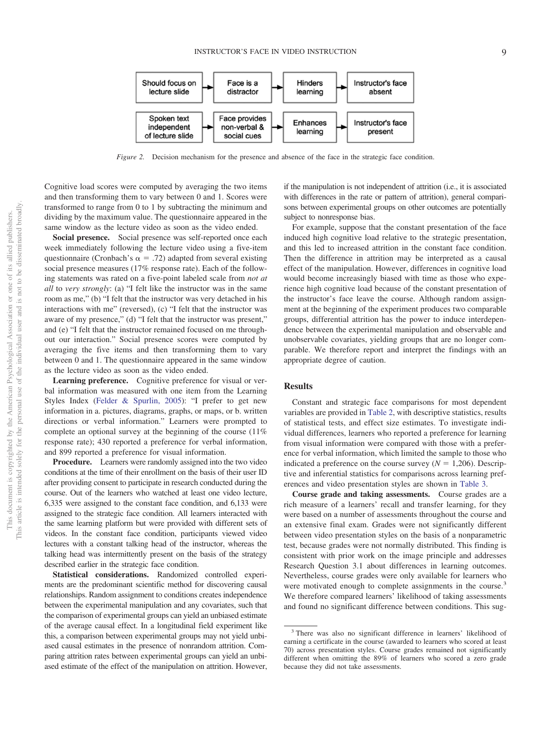

<span id="page-8-0"></span>*Figure 2.* Decision mechanism for the presence and absence of the face in the strategic face condition.

Cognitive load scores were computed by averaging the two items and then transforming them to vary between 0 and 1. Scores were transformed to range from 0 to 1 by subtracting the minimum and dividing by the maximum value. The questionnaire appeared in the same window as the lecture video as soon as the video ended.

**Social presence.** Social presence was self-reported once each week immediately following the lecture video using a five-item questionnaire (Cronbach's  $\alpha = .72$ ) adapted from several existing social presence measures (17% response rate). Each of the following statements was rated on a five-point labeled scale from *not at all* to *very strongly*: (a) "I felt like the instructor was in the same room as me," (b) "I felt that the instructor was very detached in his interactions with me" (reversed), (c) "I felt that the instructor was aware of my presence," (d) "I felt that the instructor was present," and (e) "I felt that the instructor remained focused on me throughout our interaction." Social presence scores were computed by averaging the five items and then transforming them to vary between 0 and 1. The questionnaire appeared in the same window as the lecture video as soon as the video ended.

Learning preference. Cognitive preference for visual or verbal information was measured with one item from the Learning Styles Index [\(Felder & Spurlin, 2005\)](#page-14-32): "I prefer to get new information in a. pictures, diagrams, graphs, or maps, or b. written directions or verbal information." Learners were prompted to complete an optional survey at the beginning of the course (11% response rate); 430 reported a preference for verbal information, and 899 reported a preference for visual information.

**Procedure.** Learners were randomly assigned into the two video conditions at the time of their enrollment on the basis of their user ID after providing consent to participate in research conducted during the course. Out of the learners who watched at least one video lecture, 6,335 were assigned to the constant face condition, and 6,133 were assigned to the strategic face condition. All learners interacted with the same learning platform but were provided with different sets of videos. In the constant face condition, participants viewed video lectures with a constant talking head of the instructor, whereas the talking head was intermittently present on the basis of the strategy described earlier in the strategic face condition.

**Statistical considerations.** Randomized controlled experiments are the predominant scientific method for discovering causal relationships. Random assignment to conditions creates independence between the experimental manipulation and any covariates, such that the comparison of experimental groups can yield an unbiased estimate of the average causal effect. In a longitudinal field experiment like this, a comparison between experimental groups may not yield unbiased causal estimates in the presence of nonrandom attrition. Comparing attrition rates between experimental groups can yield an unbiased estimate of the effect of the manipulation on attrition. However, if the manipulation is not independent of attrition (i.e., it is associated with differences in the rate or pattern of attrition), general comparisons between experimental groups on other outcomes are potentially subject to nonresponse bias.

For example, suppose that the constant presentation of the face induced high cognitive load relative to the strategic presentation, and this led to increased attrition in the constant face condition. Then the difference in attrition may be interpreted as a causal effect of the manipulation. However, differences in cognitive load would become increasingly biased with time as those who experience high cognitive load because of the constant presentation of the instructor's face leave the course. Although random assignment at the beginning of the experiment produces two comparable groups, differential attrition has the power to induce interdependence between the experimental manipulation and observable and unobservable covariates, yielding groups that are no longer comparable. We therefore report and interpret the findings with an appropriate degree of caution.

# **Results**

Constant and strategic face comparisons for most dependent variables are provided in [Table 2,](#page-9-0) with descriptive statistics, results of statistical tests, and effect size estimates. To investigate individual differences, learners who reported a preference for learning from visual information were compared with those with a preference for verbal information, which limited the sample to those who indicated a preference on the course survey  $(N = 1,206)$ . Descriptive and inferential statistics for comparisons across learning preferences and video presentation styles are shown in [Table 3.](#page-9-1)

**Course grade and taking assessments.** Course grades are a rich measure of a learners' recall and transfer learning, for they were based on a number of assessments throughout the course and an extensive final exam. Grades were not significantly different between video presentation styles on the basis of a nonparametric test, because grades were not normally distributed. This finding is consistent with prior work on the image principle and addresses Research Question 3.1 about differences in learning outcomes. Nevertheless, course grades were only available for learners who were motivated enough to complete assignments in the course.<sup>3</sup> We therefore compared learners' likelihood of taking assessments and found no significant difference between conditions. This sug-

<sup>3</sup> There was also no significant difference in learners' likelihood of earning a certificate in the course (awarded to learners who scored at least 70) across presentation styles. Course grades remained not significantly different when omitting the 89% of learners who scored a zero grade because they did not take assessments.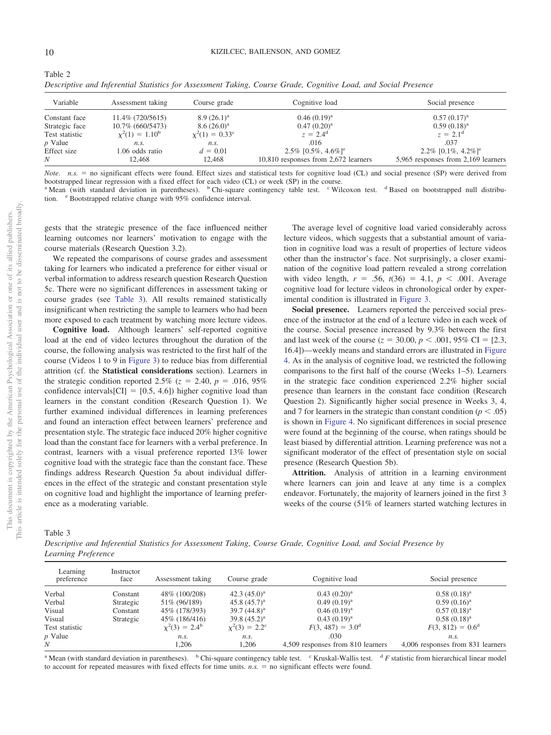<span id="page-9-0"></span>

*Descriptive and Inferential Statistics for Assessment Taking, Course Grade, Cognitive Load, and Social Presence*

| Variable       | Assessment taking    | Course grade               | Cognitive load                       | Social presence                     |
|----------------|----------------------|----------------------------|--------------------------------------|-------------------------------------|
| Constant face  | $11.4\%$ (720/5615)  | $8.9(26.1)^a$              | $0.46(0.19)^{a}$                     | $0.57(0.17)^{a}$                    |
| Strategic face | 10.7% (660/5473)     | $8.6 (26.0)^a$             | $0.47(0.20)^{a}$                     | $0.59(0.18)^{a}$                    |
| Test statistic | $\chi^2(1) = 1.10^b$ | $\chi^2(1) = 0.33^{\circ}$ | $z = 2.4^d$                          | $z = 2.1^d$                         |
| <i>p</i> Value | n.s.                 | $n_{\rm s}$ .              | .016                                 | .037                                |
| Effect size    | 1.06 odds ratio      | $d = 0.01$                 | 2.5% [0.5%, 4.6%] <sup>e</sup>       | 2.2% $[0.1\%, 4.2\%]^e$             |
| $\overline{N}$ | 12.468               | 12.468                     | 10,810 responses from 2,672 learners | 5,965 responses from 2,169 learners |

*Note. n.s.* = no significant effects were found. Effect sizes and statistical tests for cognitive load (CL) and social presence (SP) were derived from bootstrapped linear regression with a fixed effect for each video (CL) or week (SP) in the course.

<sup>a</sup> Mean (with standard deviation in parentheses). <sup>b</sup> Chi-square contingency table test. <sup>c</sup> Wilcoxon test. <sup>d</sup> Based on bootstrapped null distribution. <sup>e</sup> Bootstrapped relative change with 95% confidence interval.

gests that the strategic presence of the face influenced neither learning outcomes nor learners' motivation to engage with the course materials (Research Question 3.2).

We repeated the comparisons of course grades and assessment taking for learners who indicated a preference for either visual or verbal information to address research question Research Question 5c. There were no significant differences in assessment taking or course grades (see [Table 3\)](#page-9-1). All results remained statistically insignificant when restricting the sample to learners who had been more exposed to each treatment by watching more lecture videos.

**Cognitive load.** Although learners' self-reported cognitive load at the end of video lectures throughout the duration of the course, the following analysis was restricted to the first half of the course (Videos 1 to 9 in [Figure 3\)](#page-10-0) to reduce bias from differential attrition (cf. the **Statistical considerations** section). Learners in the strategic condition reported  $2.5\%$  ( $z = 2.40$ ,  $p = .016$ ,  $95\%$ confidence intervals $\text{[CI]} = [0.5, 4.6]$ ) higher cognitive load than learners in the constant condition (Research Question 1). We further examined individual differences in learning preferences and found an interaction effect between learners' preference and presentation style. The strategic face induced 20% higher cognitive load than the constant face for learners with a verbal preference. In contrast, learners with a visual preference reported 13% lower cognitive load with the strategic face than the constant face. These findings address Research Question 5a about individual differences in the effect of the strategic and constant presentation style on cognitive load and highlight the importance of learning preference as a moderating variable.

The average level of cognitive load varied considerably across lecture videos, which suggests that a substantial amount of variation in cognitive load was a result of properties of lecture videos other than the instructor's face. Not surprisingly, a closer examination of the cognitive load pattern revealed a strong correlation with video length,  $r = .56$ ,  $t(36) = 4.1$ ,  $p < .001$ . Average cognitive load for lecture videos in chronological order by experimental condition is illustrated in [Figure 3.](#page-10-0)

**Social presence.** Learners reported the perceived social presence of the instructor at the end of a lecture video in each week of the course. Social presence increased by 9.3% between the first and last week of the course ( $z = 30.00, p < .001, 95\% \text{ CI} = [2.3,$ 16.4])—weekly means and standard errors are illustrated in [Figure](#page-10-1) [4.](#page-10-1) As in the analysis of cognitive load, we restricted the following comparisons to the first half of the course (Weeks 1–5). Learners in the strategic face condition experienced 2.2% higher social presence than learners in the constant face condition (Research Question 2). Significantly higher social presence in Weeks 3, 4, and 7 for learners in the strategic than constant condition ( $p < .05$ ) is shown in [Figure 4.](#page-10-1) No significant differences in social presence were found at the beginning of the course, when ratings should be least biased by differential attrition. Learning preference was not a significant moderator of the effect of presentation style on social presence (Research Question 5b).

**Attrition.** Analysis of attrition in a learning environment where learners can join and leave at any time is a complex endeavor. Fortunately, the majority of learners joined in the first 3 weeks of the course (51% of learners started watching lectures in

<span id="page-9-1"></span>Table 3

*Descriptive and Inferential Statistics for Assessment Taking, Course Grade, Cognitive Load, and Social Presence by Learning Preference*

| Learning<br>preference | Instructor<br>face | Assessment taking   | Course grade              | Cognitive load                    | Social presence                   |
|------------------------|--------------------|---------------------|---------------------------|-----------------------------------|-----------------------------------|
| Verbal                 | Constant           | 48\% (100/208)      | 42.3 $(45.0)^a$           | $0.43(0.20)^a$                    | $0.58(0.18)^a$                    |
| Verbal                 | Strategic          | 51\% (96/189)       | $45.8(45.7)^a$            | $0.49(0.19)^a$                    | $0.59(0.16)^a$                    |
| Visual                 | Constant           | 45% (178/393)       | 39.7 $(44.8)^a$           | $0.46(0.19)^a$                    | $0.57(0.18)^a$                    |
| Visual                 | Strategic          | 45\% (186/416)      | 39.8 $(45.2)^a$           | $0.43(0.19)^a$                    | $0.58(0.18)^a$                    |
| Test statistic         |                    | $\chi^2(3) = 2.4^b$ | $\chi^2(3) = 2.2^{\circ}$ | $F(3, 487) = 3.0^d$               | $F(3, 812) = 0.6^d$               |
| $p$ Value              |                    | $n_{\rm s}$ .       | $n_{\rm s}$ .             | .030                              | $n_{\rm s}$ .                     |
| N                      |                    | 1,206               | 1,206                     | 4,509 responses from 810 learners | 4,006 responses from 831 learners |

<sup>a</sup> Mean (with standard deviation in parentheses). <sup>b</sup> Chi-square contingency table test. <sup>c</sup> Kruskal-Wallis test. <sup>d</sup> F statistic from hierarchical linear model to account for repeated measures with fixed effects for time units.  $n.s.$  = no significant effects were found.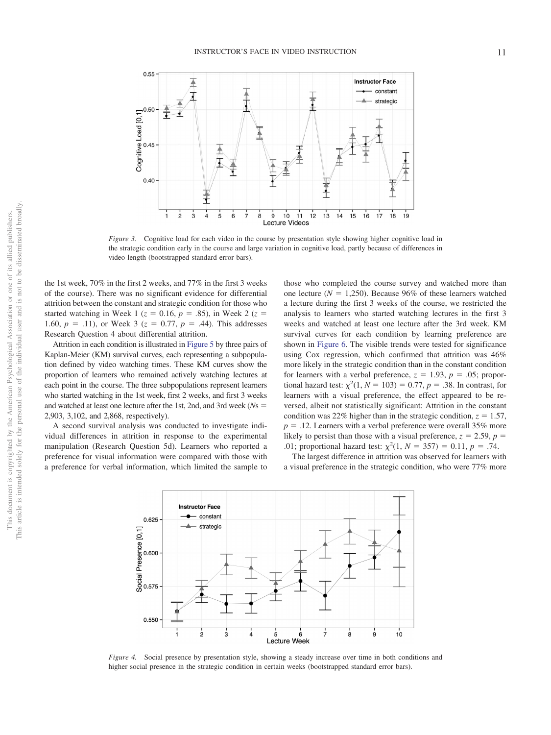

<span id="page-10-0"></span>*Figure 3.* Cognitive load for each video in the course by presentation style showing higher cognitive load in the strategic condition early in the course and large variation in cognitive load, partly because of differences in video length (bootstrapped standard error bars).

the 1st week, 70% in the first 2 weeks, and 77% in the first 3 weeks of the course). There was no significant evidence for differential attrition between the constant and strategic condition for those who started watching in Week 1 ( $z = 0.16$ ,  $p = .85$ ), in Week 2 ( $z =$ 1.60,  $p = .11$ ), or Week 3 ( $z = 0.77$ ,  $p = .44$ ). This addresses Research Question 4 about differential attrition.

Attrition in each condition is illustrated in [Figure 5](#page-11-0) by three pairs of Kaplan-Meier (KM) survival curves, each representing a subpopulation defined by video watching times. These KM curves show the proportion of learners who remained actively watching lectures at each point in the course. The three subpopulations represent learners who started watching in the 1st week, first 2 weeks, and first 3 weeks and watched at least one lecture after the 1st, 2nd, and 3rd week (*N*s = 2,903, 3,102, and 2,868, respectively).

A second survival analysis was conducted to investigate individual differences in attrition in response to the experimental manipulation (Research Question 5d). Learners who reported a preference for visual information were compared with those with a preference for verbal information, which limited the sample to those who completed the course survey and watched more than one lecture ( $N = 1,250$ ). Because 96% of these learners watched a lecture during the first 3 weeks of the course, we restricted the analysis to learners who started watching lectures in the first 3 weeks and watched at least one lecture after the 3rd week. KM survival curves for each condition by learning preference are shown in [Figure 6.](#page-11-1) The visible trends were tested for significance using Cox regression, which confirmed that attrition was 46% more likely in the strategic condition than in the constant condition for learners with a verbal preference,  $z = 1.93$ ,  $p = .05$ ; proportional hazard test:  $\chi^2(1, N = 103) = 0.77, p = .38$ . In contrast, for learners with a visual preference, the effect appeared to be reversed, albeit not statistically significant: Attrition in the constant condition was 22% higher than in the strategic condition,  $z = 1.57$ ,  $p = 0.12$ . Learners with a verbal preference were overall 35% more likely to persist than those with a visual preference,  $z = 2.59$ ,  $p =$ .01; proportional hazard test:  $\chi^2(1, N = 357) = 0.11, p = .74$ .

The largest difference in attrition was observed for learners with a visual preference in the strategic condition, who were 77% more



<span id="page-10-1"></span>*Figure 4.* Social presence by presentation style, showing a steady increase over time in both conditions and higher social presence in the strategic condition in certain weeks (bootstrapped standard error bars).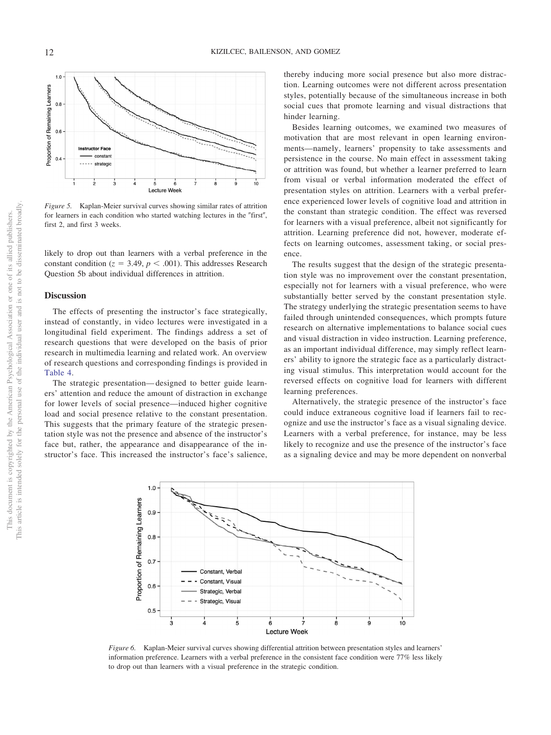

<span id="page-11-0"></span>*Figure 5.* Kaplan-Meier survival curves showing similar rates of attrition for learners in each condition who started watching lectures in the "first", first 2, and first 3 weeks.

likely to drop out than learners with a verbal preference in the constant condition ( $z = 3.49$ ,  $p < .001$ ). This addresses Research Question 5b about individual differences in attrition.

# **Discussion**

The effects of presenting the instructor's face strategically, instead of constantly, in video lectures were investigated in a longitudinal field experiment. The findings address a set of research questions that were developed on the basis of prior research in multimedia learning and related work. An overview of research questions and corresponding findings is provided in [Table 4.](#page-12-0)

The strategic presentation— designed to better guide learners' attention and reduce the amount of distraction in exchange for lower levels of social presence—induced higher cognitive load and social presence relative to the constant presentation. This suggests that the primary feature of the strategic presentation style was not the presence and absence of the instructor's face but, rather, the appearance and disappearance of the instructor's face. This increased the instructor's face's salience, thereby inducing more social presence but also more distraction. Learning outcomes were not different across presentation styles, potentially because of the simultaneous increase in both social cues that promote learning and visual distractions that hinder learning.

Besides learning outcomes, we examined two measures of motivation that are most relevant in open learning environments—namely, learners' propensity to take assessments and persistence in the course. No main effect in assessment taking or attrition was found, but whether a learner preferred to learn from visual or verbal information moderated the effect of presentation styles on attrition. Learners with a verbal preference experienced lower levels of cognitive load and attrition in the constant than strategic condition. The effect was reversed for learners with a visual preference, albeit not significantly for attrition. Learning preference did not, however, moderate effects on learning outcomes, assessment taking, or social presence.

The results suggest that the design of the strategic presentation style was no improvement over the constant presentation, especially not for learners with a visual preference, who were substantially better served by the constant presentation style. The strategy underlying the strategic presentation seems to have failed through unintended consequences, which prompts future research on alternative implementations to balance social cues and visual distraction in video instruction. Learning preference, as an important individual difference, may simply reflect learners' ability to ignore the strategic face as a particularly distracting visual stimulus. This interpretation would account for the reversed effects on cognitive load for learners with different learning preferences.

Alternatively, the strategic presence of the instructor's face could induce extraneous cognitive load if learners fail to recognize and use the instructor's face as a visual signaling device. Learners with a verbal preference, for instance, may be less likely to recognize and use the presence of the instructor's face as a signaling device and may be more dependent on nonverbal



<span id="page-11-1"></span>*Figure 6.* Kaplan-Meier survival curves showing differential attrition between presentation styles and learners' information preference. Learners with a verbal preference in the consistent face condition were 77% less likely to drop out than learners with a visual preference in the strategic condition.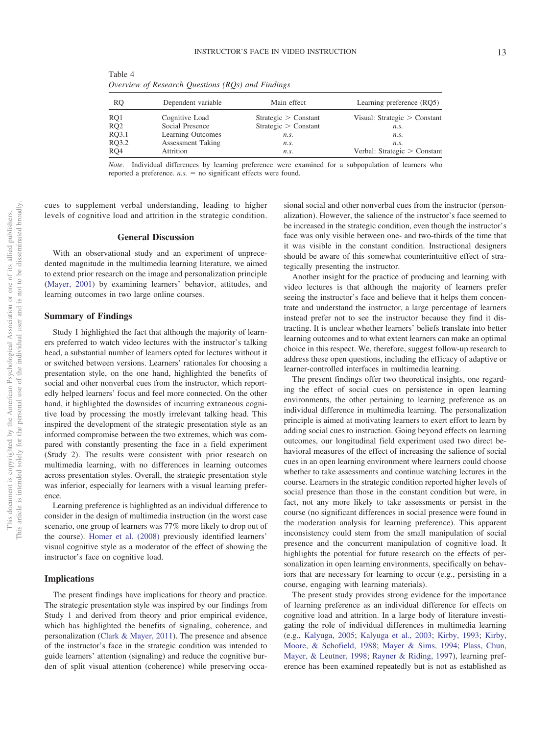| RO.                    | Dependent variable                    | Main effect                                    | Learning preference (RQ5)                       |
|------------------------|---------------------------------------|------------------------------------------------|-------------------------------------------------|
| RO <sub>1</sub><br>RO2 | Cognitive Load<br>Social Presence     | Strategyic > Constant<br>Strategyic > Constant | Visual: Strategic $>$ Constant<br>$n_{\rm s}$ . |
| RO3.1                  | Learning Outcomes                     | $n_{\rm s}$ .                                  | $n_{\rm s}$ .                                   |
| RQ3.2<br>RO4           | <b>Assessment Taking</b><br>Attrition | $n_{\rm s}$ .<br>$n_{\rm s}$ .                 | $n_{\rm s}$ .<br>Verbal: Strategic $>$ Constant |

<span id="page-12-0"></span>Table 4 *Overview of Research Questions (RQs) and Findings*

*Note*. Individual differences by learning preference were examined for a subpopulation of learners who reported a preference.  $n.s.$  = no significant effects were found.

cues to supplement verbal understanding, leading to higher levels of cognitive load and attrition in the strategic condition.

## **General Discussion**

With an observational study and an experiment of unprecedented magnitude in the multimedia learning literature, we aimed to extend prior research on the image and personalization principle [\(Mayer, 2001\)](#page-14-4) by examining learners' behavior, attitudes, and learning outcomes in two large online courses.

# **Summary of Findings**

Study 1 highlighted the fact that although the majority of learners preferred to watch video lectures with the instructor's talking head, a substantial number of learners opted for lectures without it or switched between versions. Learners' rationales for choosing a presentation style, on the one hand, highlighted the benefits of social and other nonverbal cues from the instructor, which reportedly helped learners' focus and feel more connected. On the other hand, it highlighted the downsides of incurring extraneous cognitive load by processing the mostly irrelevant talking head. This inspired the development of the strategic presentation style as an informed compromise between the two extremes, which was compared with constantly presenting the face in a field experiment (Study 2). The results were consistent with prior research on multimedia learning, with no differences in learning outcomes across presentation styles. Overall, the strategic presentation style was inferior, especially for learners with a visual learning preference.

Learning preference is highlighted as an individual difference to consider in the design of multimedia instruction (in the worst case scenario, one group of learners was 77% more likely to drop out of the course). [Homer et al. \(2008\)](#page-14-2) previously identified learners' visual cognitive style as a moderator of the effect of showing the instructor's face on cognitive load.

#### **Implications**

The present findings have implications for theory and practice. The strategic presentation style was inspired by our findings from Study 1 and derived from theory and prior empirical evidence, which has highlighted the benefits of signaling, coherence, and personalization [\(Clark & Mayer, 2011\)](#page-14-6). The presence and absence of the instructor's face in the strategic condition was intended to guide learners' attention (signaling) and reduce the cognitive burden of split visual attention (coherence) while preserving occasional social and other nonverbal cues from the instructor (personalization). However, the salience of the instructor's face seemed to be increased in the strategic condition, even though the instructor's face was only visible between one- and two-thirds of the time that it was visible in the constant condition. Instructional designers should be aware of this somewhat counterintuitive effect of strategically presenting the instructor.

Another insight for the practice of producing and learning with video lectures is that although the majority of learners prefer seeing the instructor's face and believe that it helps them concentrate and understand the instructor, a large percentage of learners instead prefer not to see the instructor because they find it distracting. It is unclear whether learners' beliefs translate into better learning outcomes and to what extent learners can make an optimal choice in this respect. We, therefore, suggest follow-up research to address these open questions, including the efficacy of adaptive or learner-controlled interfaces in multimedia learning.

The present findings offer two theoretical insights, one regarding the effect of social cues on persistence in open learning environments, the other pertaining to learning preference as an individual difference in multimedia learning. The personalization principle is aimed at motivating learners to exert effort to learn by adding social cues to instruction. Going beyond effects on learning outcomes, our longitudinal field experiment used two direct behavioral measures of the effect of increasing the salience of social cues in an open learning environment where learners could choose whether to take assessments and continue watching lectures in the course. Learners in the strategic condition reported higher levels of social presence than those in the constant condition but were, in fact, not any more likely to take assessments or persist in the course (no significant differences in social presence were found in the moderation analysis for learning preference). This apparent inconsistency could stem from the small manipulation of social presence and the concurrent manipulation of cognitive load. It highlights the potential for future research on the effects of personalization in open learning environments, specifically on behaviors that are necessary for learning to occur (e.g., persisting in a course, engaging with learning materials).

The present study provides strong evidence for the importance of learning preference as an individual difference for effects on cognitive load and attrition. In a large body of literature investigating the role of individual differences in multimedia learning (e.g., [Kalyuga, 2005;](#page-14-33) [Kalyuga et al., 2003;](#page-14-27) [Kirby, 1993;](#page-14-34) [Kirby,](#page-14-35) [Moore, & Schofield, 1988;](#page-14-35) [Mayer & Sims, 1994;](#page-15-27) [Plass, Chun,](#page-15-28) [Mayer, & Leutner, 1998;](#page-15-28) [Rayner & Riding, 1997\)](#page-15-29), learning preference has been examined repeatedly but is not as established as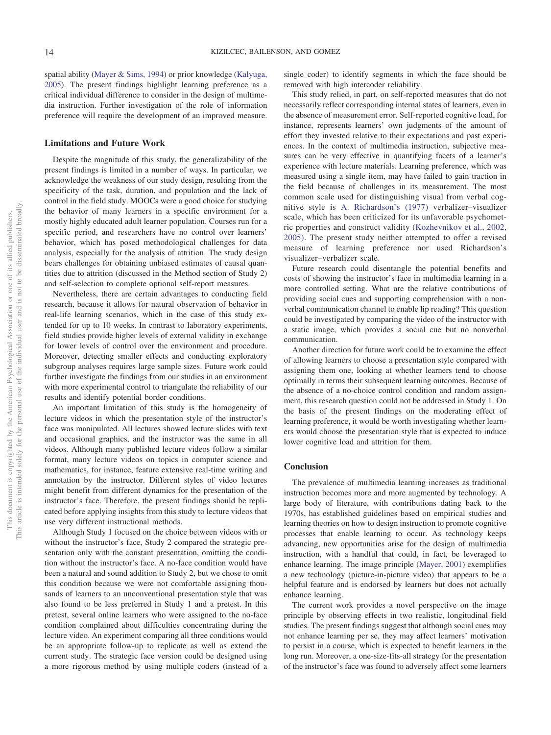spatial ability [\(Mayer & Sims, 1994\)](#page-15-27) or prior knowledge [\(Kalyuga,](#page-14-33) [2005\)](#page-14-33). The present findings highlight learning preference as a critical individual difference to consider in the design of multimedia instruction. Further investigation of the role of information preference will require the development of an improved measure.

#### **Limitations and Future Work**

Despite the magnitude of this study, the generalizability of the present findings is limited in a number of ways. In particular, we acknowledge the weakness of our study design, resulting from the specificity of the task, duration, and population and the lack of control in the field study. MOOCs were a good choice for studying the behavior of many learners in a specific environment for a mostly highly educated adult learner population. Courses run for a specific period, and researchers have no control over learners' behavior, which has posed methodological challenges for data analysis, especially for the analysis of attrition. The study design bears challenges for obtaining unbiased estimates of causal quantities due to attrition (discussed in the Method section of Study 2) and self-selection to complete optional self-report measures.

Nevertheless, there are certain advantages to conducting field research, because it allows for natural observation of behavior in real-life learning scenarios, which in the case of this study extended for up to 10 weeks. In contrast to laboratory experiments, field studies provide higher levels of external validity in exchange for lower levels of control over the environment and procedure. Moreover, detecting smaller effects and conducting exploratory subgroup analyses requires large sample sizes. Future work could further investigate the findings from our studies in an environment with more experimental control to triangulate the reliability of our results and identify potential border conditions.

An important limitation of this study is the homogeneity of lecture videos in which the presentation style of the instructor's face was manipulated. All lectures showed lecture slides with text and occasional graphics, and the instructor was the same in all videos. Although many published lecture videos follow a similar format, many lecture videos on topics in computer science and mathematics, for instance, feature extensive real-time writing and annotation by the instructor. Different styles of video lectures might benefit from different dynamics for the presentation of the instructor's face. Therefore, the present findings should be replicated before applying insights from this study to lecture videos that use very different instructional methods.

Although Study 1 focused on the choice between videos with or without the instructor's face, Study 2 compared the strategic presentation only with the constant presentation, omitting the condition without the instructor's face. A no-face condition would have been a natural and sound addition to Study 2, but we chose to omit this condition because we were not comfortable assigning thousands of learners to an unconventional presentation style that was also found to be less preferred in Study 1 and a pretest. In this pretest, several online learners who were assigned to the no-face condition complained about difficulties concentrating during the lecture video. An experiment comparing all three conditions would be an appropriate follow-up to replicate as well as extend the current study. The strategic face version could be designed using a more rigorous method by using multiple coders (instead of a

single coder) to identify segments in which the face should be removed with high intercoder reliability.

This study relied, in part, on self-reported measures that do not necessarily reflect corresponding internal states of learners, even in the absence of measurement error. Self-reported cognitive load, for instance, represents learners' own judgments of the amount of effort they invested relative to their expectations and past experiences. In the context of multimedia instruction, subjective measures can be very effective in quantifying facets of a learner's experience with lecture materials. Learning preference, which was measured using a single item, may have failed to gain traction in the field because of challenges in its measurement. The most common scale used for distinguishing visual from verbal cognitive style is [A. Richardson's \(1977\)](#page-15-30) verbalizer–visualizer scale, which has been criticized for its unfavorable psychometric properties and construct validity [\(Kozhevnikov et al., 2002,](#page-14-28) [2005\).](#page-14-28) The present study neither attempted to offer a revised measure of learning preference nor used Richardson's visualizer–verbalizer scale.

Future research could disentangle the potential benefits and costs of showing the instructor's face in multimedia learning in a more controlled setting. What are the relative contributions of providing social cues and supporting comprehension with a nonverbal communication channel to enable lip reading? This question could be investigated by comparing the video of the instructor with a static image, which provides a social cue but no nonverbal communication.

Another direction for future work could be to examine the effect of allowing learners to choose a presentation style compared with assigning them one, looking at whether learners tend to choose optimally in terms their subsequent learning outcomes. Because of the absence of a no-choice control condition and random assignment, this research question could not be addressed in Study 1. On the basis of the present findings on the moderating effect of learning preference, it would be worth investigating whether learners would choose the presentation style that is expected to induce lower cognitive load and attrition for them.

#### **Conclusion**

The prevalence of multimedia learning increases as traditional instruction becomes more and more augmented by technology. A large body of literature, with contributions dating back to the 1970s, has established guidelines based on empirical studies and learning theories on how to design instruction to promote cognitive processes that enable learning to occur. As technology keeps advancing, new opportunities arise for the design of multimedia instruction, with a handful that could, in fact, be leveraged to enhance learning. The image principle [\(Mayer, 2001\)](#page-14-4) exemplifies a new technology (picture-in-picture video) that appears to be a helpful feature and is endorsed by learners but does not actually enhance learning.

The current work provides a novel perspective on the image principle by observing effects in two realistic, longitudinal field studies. The present findings suggest that although social cues may not enhance learning per se, they may affect learners' motivation to persist in a course, which is expected to benefit learners in the long run. Moreover, a one-size-fits-all strategy for the presentation of the instructor's face was found to adversely affect some learners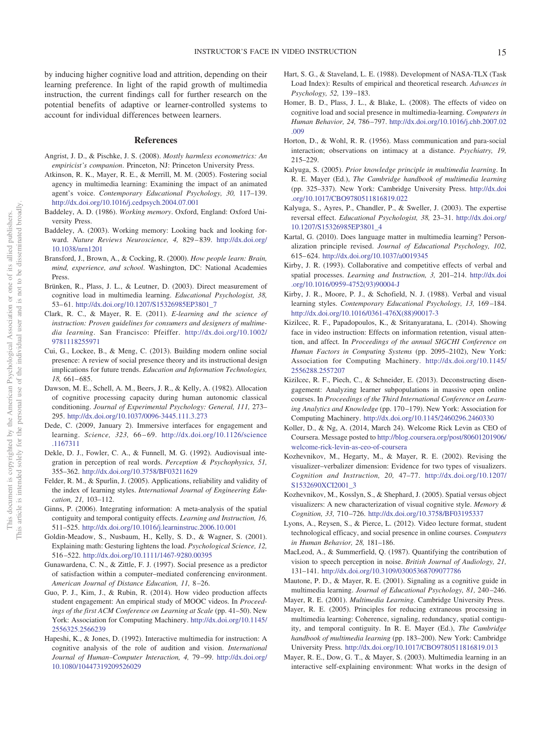by inducing higher cognitive load and attrition, depending on their learning preference. In light of the rapid growth of multimedia instruction, the current findings call for further research on the potential benefits of adaptive or learner-controlled systems to account for individual differences between learners.

# **References**

- <span id="page-14-31"></span>Angrist, J. D., & Pischke, J. S. (2008). *Mostly harmless econometrics: An empiricist's companion*. Princeton, NJ: Princeton University Press.
- <span id="page-14-11"></span>Atkinson, R. K., Mayer, R. E., & Merrill, M. M. (2005). Fostering social agency in multimedia learning: Examining the impact of an animated agent's voice. *Contemporary Educational Psychology, 30,* 117–139. <http://dx.doi.org/10.1016/j.cedpsych.2004.07.001>
- <span id="page-14-8"></span>Baddeley, A. D. (1986). *Working memory*. Oxford, England: Oxford University Press.
- <span id="page-14-9"></span>Baddeley, A. (2003). Working memory: Looking back and looking forward. *Nature Reviews Neuroscience, 4,* 829 – 839. [http://dx.doi.org/](http://dx.doi.org/10.1038/nrn1201) [10.1038/nrn1201](http://dx.doi.org/10.1038/nrn1201)
- <span id="page-14-5"></span>Bransford, J., Brown, A., & Cocking, R. (2000). *How people learn: Brain, mind, experience, and school*. Washington, DC: National Academies Press.
- <span id="page-14-16"></span>Brünken, R., Plass, J. L., & Leutner, D. (2003). Direct measurement of cognitive load in multimedia learning. *Educational Psychologist, 38,* 53– 61. [http://dx.doi.org/10.1207/S15326985EP3801\\_7](http://dx.doi.org/10.1207/S15326985EP3801_7)
- <span id="page-14-6"></span>Clark, R. C., & Mayer, R. E. (2011). *E-learning and the science of instruction: Proven guidelines for consumers and designers of multimedia learning*. San Francisco: Pfeiffer. [http://dx.doi.org/10.1002/](http://dx.doi.org/10.1002/9781118255971) [9781118255971](http://dx.doi.org/10.1002/9781118255971)
- <span id="page-14-24"></span>Cui, G., Lockee, B., & Meng, C. (2013). Building modern online social presence: A review of social presence theory and its instructional design implications for future trends. *Education and Information Technologies, 18,* 661– 685.
- <span id="page-14-18"></span>Dawson, M. E., Schell, A. M., Beers, J. R., & Kelly, A. (1982). Allocation of cognitive processing capacity during human autonomic classical conditioning. *Journal of Experimental Psychology: General, 111,* 273– 295. <http://dx.doi.org/10.1037/0096-3445.111.3.273>
- <span id="page-14-25"></span>Dede, C. (2009, January 2). Immersive interfaces for engagement and learning. *Science, 323,* 66 – 69. [http://dx.doi.org/10.1126/science](http://dx.doi.org/10.1126/science.1167311) [.1167311](http://dx.doi.org/10.1126/science.1167311)
- <span id="page-14-22"></span>Dekle, D. J., Fowler, C. A., & Funnell, M. G. (1992). Audiovisual integration in perception of real words. *Perception & Psychophysics, 51,* 355–362. <http://dx.doi.org/10.3758/BF03211629>
- <span id="page-14-32"></span>Felder, R. M., & Spurlin, J. (2005). Applications, reliability and validity of the index of learning styles. *International Journal of Engineering Education, 21,* 103–112.
- <span id="page-14-19"></span>Ginns, P. (2006). Integrating information: A meta-analysis of the spatial contiguity and temporal contiguity effects. *Learning and Instruction, 16,* 511–525. <http://dx.doi.org/10.1016/j.learninstruc.2006.10.001>
- <span id="page-14-17"></span>Goldin-Meadow, S., Nusbaum, H., Kelly, S. D., & Wagner, S. (2001). Explaining math: Gesturing lightens the load. *Psychological Science, 12,* 516 –522. <http://dx.doi.org/10.1111/1467-9280.00395>
- <span id="page-14-12"></span>Gunawardena, C. N., & Zittle, F. J. (1997). Social presence as a predictor of satisfaction within a computer–mediated conferencing environment. *American Journal of Distance Education, 11,* 8 –26.
- <span id="page-14-1"></span>Guo, P. J., Kim, J., & Rubin, R. (2014). How video production affects student engagement: An empirical study of MOOC videos. In *Proceedings of the first ACM Conference on Learning at Scale* (pp. 41–50). New York: Association for Computing Machinery. [http://dx.doi.org/10.1145/](http://dx.doi.org/10.1145/2556325.2566239) [2556325.2566239](http://dx.doi.org/10.1145/2556325.2566239)
- <span id="page-14-23"></span>Hapeshi, K., & Jones, D. (1992). Interactive multimedia for instruction: A cognitive analysis of the role of audition and vision. *International Journal of Human–Computer Interaction, 4,* 79 –99. [http://dx.doi.org/](http://dx.doi.org/10.1080/10447319209526029) [10.1080/10447319209526029](http://dx.doi.org/10.1080/10447319209526029)
- <span id="page-14-30"></span>Hart, S. G., & Staveland, L. E. (1988). Development of NASA-TLX (Task Load Index): Results of empirical and theoretical research. *Advances in Psychology, 52,* 139 –183.
- <span id="page-14-2"></span>Homer, B. D., Plass, J. L., & Blake, L. (2008). The effects of video on cognitive load and social presence in multimedia-learning. *Computers in Human Behavior, 24,* 786 –797. [http://dx.doi.org/10.1016/j.chb.2007.02](http://dx.doi.org/10.1016/j.chb.2007.02.009) [.009](http://dx.doi.org/10.1016/j.chb.2007.02.009)
- <span id="page-14-20"></span>Horton, D., & Wohl, R. R. (1956). Mass communication and para-social interaction; observations on intimacy at a distance. *Psychiatry, 19,* 215–229.
- <span id="page-14-33"></span>Kalyuga, S. (2005). *Prior knowledge principle in multimedia learning*. In R. E. Mayer (Ed.), *The Cambridge handbook of multimedia learning* (pp. 325–337). New York: Cambridge University Press. [http://dx.doi](http://dx.doi.org/10.1017/CBO9780511816819.022) [.org/10.1017/CBO9780511816819.022](http://dx.doi.org/10.1017/CBO9780511816819.022)
- <span id="page-14-27"></span>Kalyuga, S., Ayres, P., Chandler, P., & Sweller, J. (2003). The expertise reversal effect. *Educational Psychologist, 38,* 23–31. [http://dx.doi.org/](http://dx.doi.org/10.1207/S15326985EP3801_4) [10.1207/S15326985EP3801\\_4](http://dx.doi.org/10.1207/S15326985EP3801_4)
- <span id="page-14-10"></span>Kartal, G. (2010). Does language matter in multimedia learning? Personalization principle revised. *Journal of Educational Psychology, 102,* 615– 624. <http://dx.doi.org/10.1037/a0019345>
- <span id="page-14-34"></span>Kirby, J. R. (1993). Collaborative and competitive effects of verbal and spatial processes. *Learning and Instruction, 3,* 201–214. [http://dx.doi](http://dx.doi.org/10.1016/0959-4752%2893%2990004-J) [.org/10.1016/0959-4752\(93\)90004-J](http://dx.doi.org/10.1016/0959-4752%2893%2990004-J)
- <span id="page-14-35"></span>Kirby, J. R., Moore, P. J., & Schofield, N. J. (1988). Verbal and visual learning styles. *Contemporary Educational Psychology, 13, 169–184.* [http://dx.doi.org/10.1016/0361-476X\(88\)90017-3](http://dx.doi.org/10.1016/0361-476X%2888%2990017-3)
- <span id="page-14-3"></span>Kizilcec, R. F., Papadopoulos, K., & Sritanyaratana, L. (2014). Showing face in video instruction: Effects on information retention, visual attention, and affect. In *Proceedings of the annual SIGCHI Conference on Human Factors in Computing Systems* (pp. 2095–2102), New York: Association for Computing Machinery. [http://dx.doi.org/10.1145/](http://dx.doi.org/10.1145/2556288.2557207) [2556288.2557207](http://dx.doi.org/10.1145/2556288.2557207)
- <span id="page-14-26"></span>Kizilcec, R. F., Piech, C., & Schneider, E. (2013). Deconstructing disengagement: Analyzing learner subpopulations in massive open online courses. In *Proceedings of the Third International Conference on Learning Analytics and Knowledge* (pp. 170 –179). New York: Association for Computing Machinery. <http://dx.doi.org/10.1145/2460296.2460330>
- <span id="page-14-0"></span>Koller, D., & Ng, A. (2014, March 24). Welcome Rick Levin as CEO of Coursera. Message posted to [http://blog.coursera.org/post/80601201906/](http://blog.coursera.org/post/80601201906/welcome-rick-levin-as-ceo-of-coursera) [welcome-rick-levin-as-ceo-of-coursera](http://blog.coursera.org/post/80601201906/welcome-rick-levin-as-ceo-of-coursera)
- <span id="page-14-28"></span>Kozhevnikov, M., Hegarty, M., & Mayer, R. E. (2002). Revising the visualizer–verbalizer dimension: Evidence for two types of visualizers. *Cognition and Instruction, 20,* 47–77. [http://dx.doi.org/10.1207/](http://dx.doi.org/10.1207/S1532690XCI2001_3) [S1532690XCI2001\\_3](http://dx.doi.org/10.1207/S1532690XCI2001_3)
- <span id="page-14-29"></span>Kozhevnikov, M., Kosslyn, S., & Shephard, J. (2005). Spatial versus object visualizers: A new characterization of visual cognitive style. *Memory & Cognition, 33,* 710 –726. <http://dx.doi.org/10.3758/BF03195337>
- <span id="page-14-13"></span>Lyons, A., Reysen, S., & Pierce, L. (2012). Video lecture format, student technological efficacy, and social presence in online courses. *Computers in Human Behavior, 28,* 181–186.
- <span id="page-14-21"></span>MacLeod, A., & Summerfield, Q. (1987). Quantifying the contribution of vision to speech perception in noise. *British Journal of Audiology, 21,* 131–141. <http://dx.doi.org/10.3109/03005368709077786>
- <span id="page-14-15"></span>Mautone, P. D., & Mayer, R. E. (2001). Signaling as a cognitive guide in multimedia learning. *Journal of Educational Psychology, 81,* 240 –246.
- <span id="page-14-7"></span><span id="page-14-4"></span>Mayer, R. E. (2001). *Multimedia Learning*. Cambridge University Press.
- Mayer, R. E. (2005). Principles for reducing extraneous processing in multimedia learning: Coherence, signaling, redundancy, spatial contiguity, and temporal contiguity. In R. E. Mayer (Ed.), *The Cambridge handbook of multimedia learning* (pp. 183–200). New York: Cambridge University Press. <http://dx.doi.org/10.1017/CBO9780511816819.013>
- <span id="page-14-14"></span>Mayer, R. E., Dow, G. T., & Mayer, S. (2003). Multimedia learning in an interactive self-explaining environment: What works in the design of